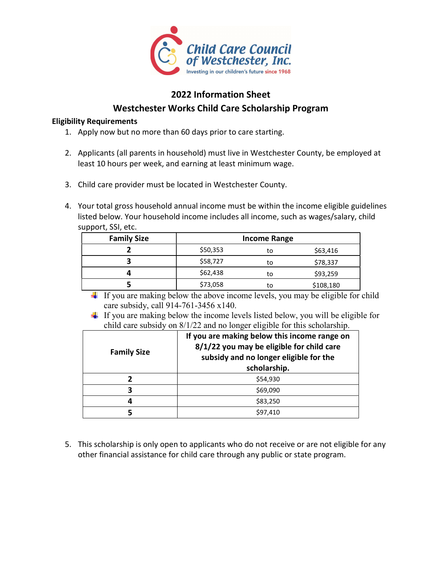

## 2022 Information Sheet Westchester Works Child Care Scholarship Program

### Eligibility Requirements

- 1. Apply now but no more than 60 days prior to care starting.
- 2. Applicants (all parents in household) must live in Westchester County, be employed at least 10 hours per week, and earning at least minimum wage.
- 3. Child care provider must be located in Westchester County.
- 4. Your total gross household annual income must be within the income eligible guidelines listed below. Your household income includes all income, such as wages/salary, child support, SSI, etc.

| <b>Family Size</b> | <b>Income Range</b> |    |           |  |  |  |
|--------------------|---------------------|----|-----------|--|--|--|
|                    | \$50,353            | to | \$63,416  |  |  |  |
|                    | \$58,727<br>to      |    | \$78,337  |  |  |  |
|                    | \$62,438            | to | \$93,259  |  |  |  |
|                    | \$73,058            | to | \$108,180 |  |  |  |

- If you are making below the above income levels, you may be eligible for child care subsidy, call 914-761-3456 x140.
- $\pm$  If you are making below the income levels listed below, you will be eligible for child care subsidy on 8/1/22 and no longer eligible for this scholarship.

| <b>Family Size</b> | If you are making below this income range on<br>8/1/22 you may be eligible for child care<br>subsidy and no longer eligible for the<br>scholarship. |
|--------------------|-----------------------------------------------------------------------------------------------------------------------------------------------------|
|                    | \$54,930                                                                                                                                            |
| 3                  | \$69,090                                                                                                                                            |
| 4                  | \$83,250                                                                                                                                            |
|                    | \$97,410                                                                                                                                            |
|                    |                                                                                                                                                     |

5. This scholarship is only open to applicants who do not receive or are not eligible for any other financial assistance for child care through any public or state program.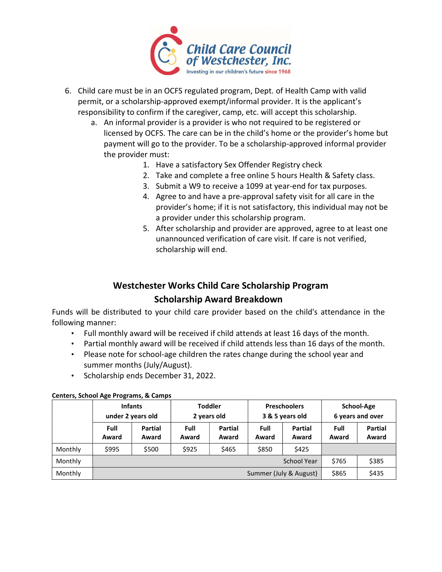

- 6. Child care must be in an OCFS regulated program, Dept. of Health Camp with valid permit, or a scholarship-approved exempt/informal provider. It is the applicant's responsibility to confirm if the caregiver, camp, etc. will accept this scholarship.
	- a. An informal provider is a provider is who not required to be registered or licensed by OCFS. The care can be in the child's home or the provider's home but payment will go to the provider. To be a scholarship-approved informal provider the provider must:
		- 1. Have a satisfactory Sex Offender Registry check
		- 2. Take and complete a free online 5 hours Health & Safety class.
		- 3. Submit a W9 to receive a 1099 at year-end for tax purposes.
		- 4. Agree to and have a pre-approval safety visit for all care in the provider's home; if it is not satisfactory, this individual may not be a provider under this scholarship program.
		- 5. After scholarship and provider are approved, agree to at least one unannounced verification of care visit. If care is not verified, scholarship will end.

# Westchester Works Child Care Scholarship Program Scholarship Award Breakdown

Funds will be distributed to your child care provider based on the child's attendance in the following manner:

- Full monthly award will be received if child attends at least 16 days of the month.
- Partial monthly award will be received if child attends less than 16 days of the month.
- Please note for school-age children the rates change during the school year and summer months (July/August).
- Scholarship ends December 31, 2022.

|         | <b>Infants</b>         |         | <b>Toddler</b> |                | <b>Preschoolers</b> |       | School-Age       |                |
|---------|------------------------|---------|----------------|----------------|---------------------|-------|------------------|----------------|
|         | under 2 years old      |         | 2 years old    |                | 3 & 5 years old     |       | 6 years and over |                |
|         | Full                   | Partial | Full           | <b>Partial</b> | Full<br>Partial     |       | Full             | <b>Partial</b> |
|         | Award                  | Award   | Award          | Award          | Award               | Award | Award            | Award          |
| Monthly | \$995                  | \$500   | \$925          | \$465          | \$850               | \$425 |                  |                |
| Monthly | <b>School Year</b>     |         |                |                |                     |       | \$765            | \$385          |
| Monthly | Summer (July & August) |         |                |                |                     | \$865 | \$435            |                |

### Centers, School Age Programs, & Camps